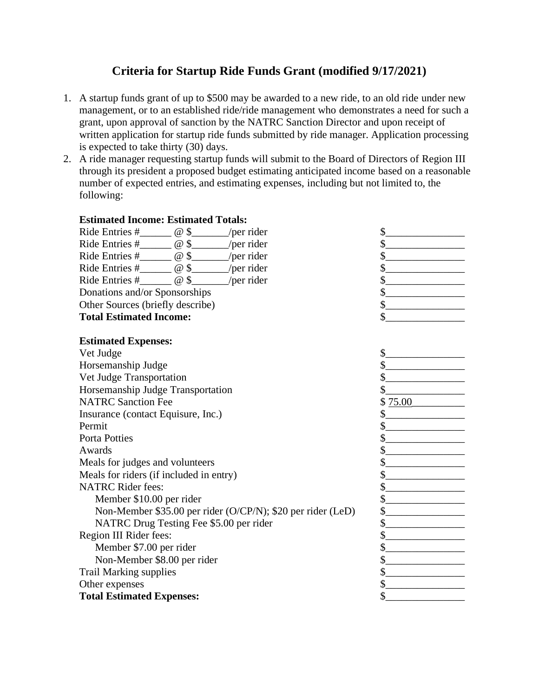## **Criteria for Startup Ride Funds Grant (modified 9/17/2021)**

- 1. A startup funds grant of up to \$500 may be awarded to a new ride, to an old ride under new management, or to an established ride/ride management who demonstrates a need for such a grant, upon approval of sanction by the NATRC Sanction Director and upon receipt of written application for startup ride funds submitted by ride manager. Application processing is expected to take thirty (30) days.
- 2. A ride manager requesting startup funds will submit to the Board of Directors of Region III through its president a proposed budget estimating anticipated income based on a reasonable number of expected entries, and estimating expenses, including but not limited to, the following:

**Estimated Income: Estimated Totals:**

| Ride Entries #_______ @ \$______/per rider                           | $\mathcal{S}_{-}$                                                                                                                                                                                                                                                                                                                             |
|----------------------------------------------------------------------|-----------------------------------------------------------------------------------------------------------------------------------------------------------------------------------------------------------------------------------------------------------------------------------------------------------------------------------------------|
| Ride Entries #________ @ \$_______/per rider                         | \$                                                                                                                                                                                                                                                                                                                                            |
| Ride Entries $\#$ $\Box$ $\emptyset$ \$ $\Box$ /per rider            | \$                                                                                                                                                                                                                                                                                                                                            |
| Ride Entries #_______ @ \$______/per rider                           | \$                                                                                                                                                                                                                                                                                                                                            |
| Ride Entries $\#$ $\oslash$ $\otimes$ $\searrow$ $\oslash$ per rider | $\sim$ $\sim$                                                                                                                                                                                                                                                                                                                                 |
| Donations and/or Sponsorships                                        | $\frac{1}{2}$                                                                                                                                                                                                                                                                                                                                 |
| Other Sources (briefly describe)                                     | $\frac{1}{2}$                                                                                                                                                                                                                                                                                                                                 |
| <b>Total Estimated Income:</b>                                       | \$                                                                                                                                                                                                                                                                                                                                            |
|                                                                      |                                                                                                                                                                                                                                                                                                                                               |
| <b>Estimated Expenses:</b>                                           |                                                                                                                                                                                                                                                                                                                                               |
| Vet Judge                                                            | $\frac{1}{2}$                                                                                                                                                                                                                                                                                                                                 |
| Horsemanship Judge                                                   | $\frac{1}{2}$                                                                                                                                                                                                                                                                                                                                 |
| Vet Judge Transportation                                             | $\frac{1}{2}$                                                                                                                                                                                                                                                                                                                                 |
| Horsemanship Judge Transportation                                    | \$                                                                                                                                                                                                                                                                                                                                            |
| <b>NATRC Sanction Fee</b>                                            | \$75.00                                                                                                                                                                                                                                                                                                                                       |
| Insurance (contact Equisure, Inc.)                                   | $\begin{picture}(20,20) \put(0,0){\line(1,0){100}} \put(15,0){\line(1,0){100}} \put(15,0){\line(1,0){100}} \put(15,0){\line(1,0){100}} \put(15,0){\line(1,0){100}} \put(15,0){\line(1,0){100}} \put(15,0){\line(1,0){100}} \put(15,0){\line(1,0){100}} \put(15,0){\line(1,0){100}} \put(15,0){\line(1,0){100}} \put(15,0){\line(1,0){100}} \$ |
| Permit                                                               | $\frac{1}{2}$                                                                                                                                                                                                                                                                                                                                 |
| <b>Porta Potties</b>                                                 | $\frac{1}{2}$                                                                                                                                                                                                                                                                                                                                 |
| Awards                                                               | $\frac{1}{2}$                                                                                                                                                                                                                                                                                                                                 |
| Meals for judges and volunteers                                      |                                                                                                                                                                                                                                                                                                                                               |
| Meals for riders (if included in entry)                              | $\frac{1}{2}$                                                                                                                                                                                                                                                                                                                                 |
| <b>NATRC</b> Rider fees:                                             | $\frac{1}{2}$                                                                                                                                                                                                                                                                                                                                 |
| Member \$10.00 per rider                                             | $\frac{1}{2}$                                                                                                                                                                                                                                                                                                                                 |
| Non-Member \$35.00 per rider (O/CP/N); \$20 per rider (LeD)          | $\frac{1}{2}$                                                                                                                                                                                                                                                                                                                                 |
| NATRC Drug Testing Fee \$5.00 per rider                              | $\frac{\text{S}}{\text{S}}$                                                                                                                                                                                                                                                                                                                   |
| Region III Rider fees:                                               | $\frac{1}{2}$                                                                                                                                                                                                                                                                                                                                 |
| Member \$7.00 per rider                                              | $\frac{\text{S}}{\text{S}}$                                                                                                                                                                                                                                                                                                                   |
| Non-Member \$8.00 per rider                                          | $\frac{1}{2}$                                                                                                                                                                                                                                                                                                                                 |
| <b>Trail Marking supplies</b>                                        | \$                                                                                                                                                                                                                                                                                                                                            |
| Other expenses                                                       | $\sim$                                                                                                                                                                                                                                                                                                                                        |
| <b>Total Estimated Expenses:</b>                                     | \$                                                                                                                                                                                                                                                                                                                                            |